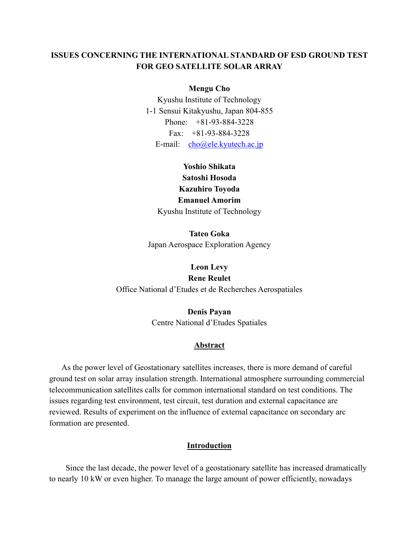# **ISSUES CONCERNING THE INTERNATIONAL STANDARD OF ESD GROUND TEST FOR GEO SATELLITE SOLAR ARRAY**

#### **Mengu Cho**

Kyushu Institute of Technology 1-1 Sensui Kitakyushu, Japan 804-855 Phone: +81-93-884-3228 Fax: +81-93-884-3228 E-mail: [cho@ele.kyutech.ac.jp](mailto:cho@ele.kyutech.ac.jp)

# **Yoshio Shikata Satoshi Hosoda Kazuhiro Toyoda Emanuel Amorim**  Kyushu Institute of Technology

**Tateo Goka**  Japan Aerospace Exploration Agency

**Leon Levy Rene Reulet**  Office National d'Etudes et de Recherches Aerospatiales

> **Denis Payan**  Centre National d'Etudes Spatiales

#### **Abstract**

As the power level of Geostationary satellites increases, there is more demand of careful ground test on solar array insulation strength. International atmosphere surrounding commercial telecommunication satellites calls for common international standard on test conditions. The issues regarding test environment, test circuit, test duration and external capacitance are reviewed. Results of experiment on the influence of external capacitance on secondary arc formation are presented.

## **Introduction**

Since the last decade, the power level of a geostationary satellite has increased dramatically to nearly 10 kW or even higher. To manage the large amount of power efficiently, nowadays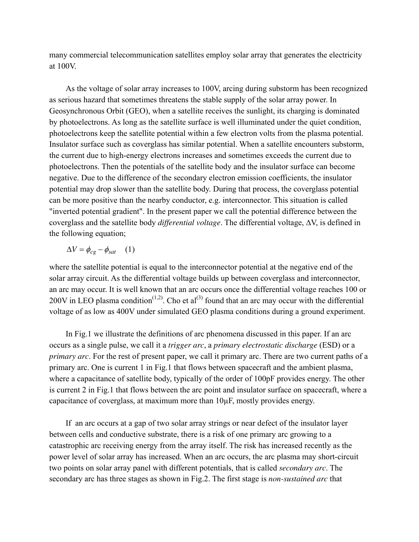many commercial telecommunication satellites employ solar array that generates the electricity at 100V.

As the voltage of solar array increases to 100V, arcing during substorm has been recognized as serious hazard that sometimes threatens the stable supply of the solar array power. In Geosynchronous Orbit (GEO), when a satellite receives the sunlight, its charging is dominated by photoelectrons. As long as the satellite surface is well illuminated under the quiet condition, photoelectrons keep the satellite potential within a few electron volts from the plasma potential. Insulator surface such as coverglass has similar potential. When a satellite encounters substorm, the current due to high-energy electrons increases and sometimes exceeds the current due to photoelectrons. Then the potentials of the satellite body and the insulator surface can become negative. Due to the difference of the secondary electron emission coefficients, the insulator potential may drop slower than the satellite body. During that process, the coverglass potential can be more positive than the nearby conductor, e.g. interconnector. This situation is called "inverted potential gradient". In the present paper we call the potential difference between the coverglass and the satellite body *differential voltage*. The differential voltage, ∆V, is defined in the following equation;

$$
\Delta V = \phi_{cg} - \phi_{sat} \quad (1)
$$

where the satellite potential is equal to the interconnector potential at the negative end of the solar array circuit. As the differential voltage builds up between coverglass and interconnector, an arc may occur. It is well known that an arc occurs once the differential voltage reaches 100 or 200V in LEO plasma condition<sup>(1,2)</sup>. Cho et al<sup>(3)</sup> found that an arc may occur with the differential voltage of as low as 400V under simulated GEO plasma conditions during a ground experiment.

In Fig.1 we illustrate the definitions of arc phenomena discussed in this paper. If an arc occurs as a single pulse, we call it a *trigger arc*, a *primary electrostatic discharge* (ESD) or a *primary arc*. For the rest of present paper, we call it primary arc. There are two current paths of a primary arc. One is current 1 in Fig.1 that flows between spacecraft and the ambient plasma, where a capacitance of satellite body, typically of the order of 100pF provides energy. The other is current 2 in Fig.1 that flows between the arc point and insulator surface on spacecraft, where a capacitance of coverglass, at maximum more than 10µF, mostly provides energy.

If an arc occurs at a gap of two solar array strings or near defect of the insulator layer between cells and conductive substrate, there is a risk of one primary arc growing to a catastrophic arc receiving energy from the array itself. The risk has increased recently as the power level of solar array has increased. When an arc occurs, the arc plasma may short-circuit two points on solar array panel with different potentials, that is called *secondary arc*. The secondary arc has three stages as shown in Fig.2. The first stage is *non-sustained arc* that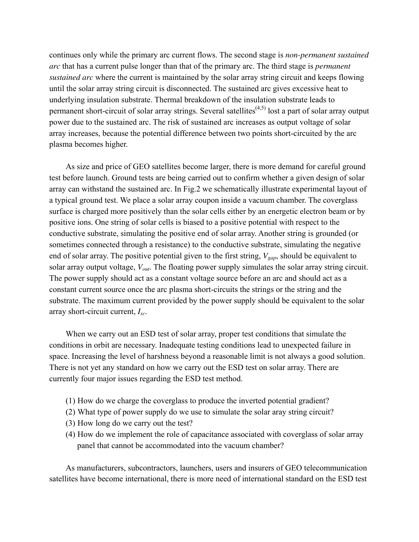continues only while the primary arc current flows. The second stage is *non-permanent sustained arc* that has a current pulse longer than that of the primary arc. The third stage is *permanent sustained arc* where the current is maintained by the solar array string circuit and keeps flowing until the solar array string circuit is disconnected. The sustained arc gives excessive heat to underlying insulation substrate. Thermal breakdown of the insulation substrate leads to permanent short-circuit of solar array strings. Several satellites<sup>(4,5)</sup> lost a part of solar array output power due to the sustained arc. The risk of sustained arc increases as output voltage of solar array increases, because the potential difference between two points short-circuited by the arc plasma becomes higher.

As size and price of GEO satellites become larger, there is more demand for careful ground test before launch. Ground tests are being carried out to confirm whether a given design of solar array can withstand the sustained arc. In Fig.2 we schematically illustrate experimental layout of a typical ground test. We place a solar array coupon inside a vacuum chamber. The coverglass surface is charged more positively than the solar cells either by an energetic electron beam or by positive ions. One string of solar cells is biased to a positive potential with respect to the conductive substrate, simulating the positive end of solar array. Another string is grounded (or sometimes connected through a resistance) to the conductive substrate, simulating the negative end of solar array. The positive potential given to the first string, *Vgap*, should be equivalent to solar array output voltage, *Vout*. The floating power supply simulates the solar array string circuit. The power supply should act as a constant voltage source before an arc and should act as a constant current source once the arc plasma short-circuits the strings or the string and the substrate. The maximum current provided by the power supply should be equivalent to the solar array short-circuit current, *Isc*.

When we carry out an ESD test of solar array, proper test conditions that simulate the conditions in orbit are necessary. Inadequate testing conditions lead to unexpected failure in space. Increasing the level of harshness beyond a reasonable limit is not always a good solution. There is not yet any standard on how we carry out the ESD test on solar array. There are currently four major issues regarding the ESD test method.

- (1) How do we charge the coverglass to produce the inverted potential gradient?
- (2) What type of power supply do we use to simulate the solar aray string circuit?
- (3) How long do we carry out the test?
- (4) How do we implement the role of capacitance associated with coverglass of solar array panel that cannot be accommodated into the vacuum chamber?

As manufacturers, subcontractors, launchers, users and insurers of GEO telecommunication satellites have become international, there is more need of international standard on the ESD test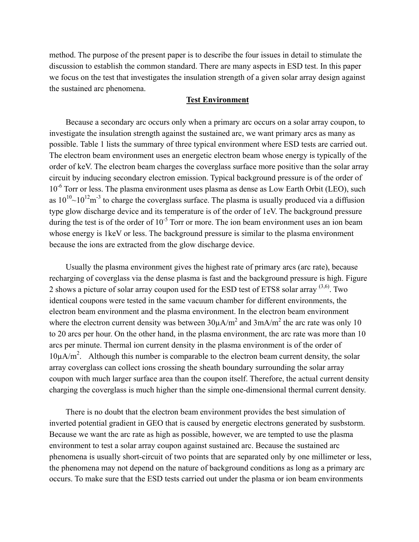method. The purpose of the present paper is to describe the four issues in detail to stimulate the discussion to establish the common standard. There are many aspects in ESD test. In this paper we focus on the test that investigates the insulation strength of a given solar array design against the sustained arc phenomena.

## **Test Environment**

Because a secondary arc occurs only when a primary arc occurs on a solar array coupon, to investigate the insulation strength against the sustained arc, we want primary arcs as many as possible. Table 1 lists the summary of three typical environment where ESD tests are carried out. The electron beam environment uses an energetic electron beam whose energy is typically of the order of keV. The electron beam charges the coverglass surface more positive than the solar array circuit by inducing secondary electron emission. Typical background pressure is of the order of  $10^{-6}$  Torr or less. The plasma environment uses plasma as dense as Low Earth Orbit (LEO), such as  $10^{10}$ ~ $10^{12}$ m<sup>-3</sup> to charge the coverglass surface. The plasma is usually produced via a diffusion type glow discharge device and its temperature is of the order of 1eV. The background pressure during the test is of the order of  $10^{-5}$  Torr or more. The ion beam environment uses an ion beam whose energy is 1keV or less. The background pressure is similar to the plasma environment because the ions are extracted from the glow discharge device.

Usually the plasma environment gives the highest rate of primary arcs (arc rate), because recharging of coverglass via the dense plasma is fast and the background pressure is high. Figure 2 shows a picture of solar array coupon used for the ESD test of ETS8 solar array  $(3,6)$ . Two identical coupons were tested in the same vacuum chamber for different environments, the electron beam environment and the plasma environment. In the electron beam environment where the electron current density was between  $30\mu A/m^2$  and  $3mA/m^2$  the arc rate was only 10 to 20 arcs per hour. On the other hand, in the plasma environment, the arc rate was more than 10 arcs per minute. Thermal ion current density in the plasma environment is of the order of  $10\mu A/m^2$ . Although this number is comparable to the electron beam current density, the solar array coverglass can collect ions crossing the sheath boundary surrounding the solar array coupon with much larger surface area than the coupon itself. Therefore, the actual current density charging the coverglass is much higher than the simple one-dimensional thermal current density.

There is no doubt that the electron beam environment provides the best simulation of inverted potential gradient in GEO that is caused by energetic electrons generated by susbstorm. Because we want the arc rate as high as possible, however, we are tempted to use the plasma environment to test a solar array coupon against sustained arc. Because the sustained arc phenomena is usually short-circuit of two points that are separated only by one millimeter or less, the phenomena may not depend on the nature of background conditions as long as a primary arc occurs. To make sure that the ESD tests carried out under the plasma or ion beam environments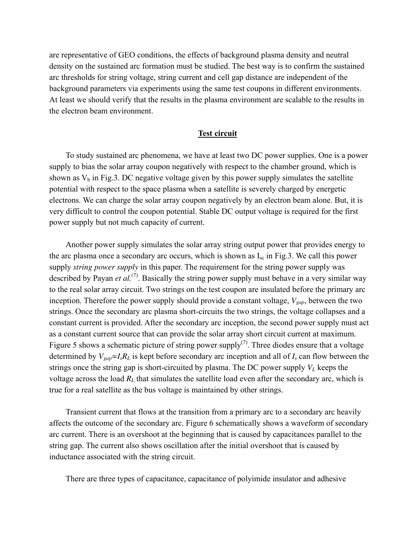are representative of GEO conditions, the effects of background plasma density and neutral density on the sustained arc formation must be studied. The best way is to confirm the sustained arc thresholds for string voltage, string current and cell gap distance are independent of the background parameters via experiments using the same test coupons in different environments. At least we should verify that the results in the plasma environment are scalable to the results in the electron beam environment.

## **Test circuit**

To study sustained arc phenomena, we have at least two DC power supplies. One is a power supply to bias the solar array coupon negatively with respect to the chamber ground, which is shown as  $V_b$  in Fig.3. DC negative voltage given by this power supply simulates the satellite potential with respect to the space plasma when a satellite is severely charged by energetic electrons. We can charge the solar array coupon negatively by an electron beam alone. But, it is very difficult to control the coupon potential. Stable DC output voltage is required for the first power supply but not much capacity of current.

Another power supply simulates the solar array string output power that provides energy to the arc plasma once a secondary arc occurs, which is shown as  $I_{\rm sc}$  in Fig.3. We call this power supply *string power supply* in this paper. The requirement for the string power supply was described by Payan *et al.(*7). Basically the string power supply must behave in a very similar way to the real solar array circuit. Two strings on the test coupon are insulated before the primary arc inception. Therefore the power supply should provide a constant voltage,  $V_{gap}$ , between the two strings. Once the secondary arc plasma short-circuits the two strings, the voltage collapses and a constant current is provided. After the secondary arc inception, the second power supply must act as a constant current source that can provide the solar array short circuit current at maximum. Figure 5 shows a schematic picture of string power supply<sup>(7)</sup>. Three diodes ensure that a voltage determined by  $V_{gap} = I_s R_L$  is kept before secondary arc inception and all of  $I_s$  can flow between the strings once the string gap is short-circuited by plasma. The DC power supply  $V_L$  keeps the voltage across the load  $R<sub>L</sub>$  that simulates the satellite load even after the secondary arc, which is true for a real satellite as the bus voltage is maintained by other strings.

Transient current that flows at the transition from a primary arc to a secondary arc heavily affects the outcome of the secondary arc. Figure 6 schematically shows a waveform of secondary arc current. There is an overshoot at the beginning that is caused by capacitances parallel to the string gap. The current also shows oscillation after the initial overshoot that is caused by inductance associated with the string circuit.

There are three types of capacitance, capacitance of polyimide insulator and adhesive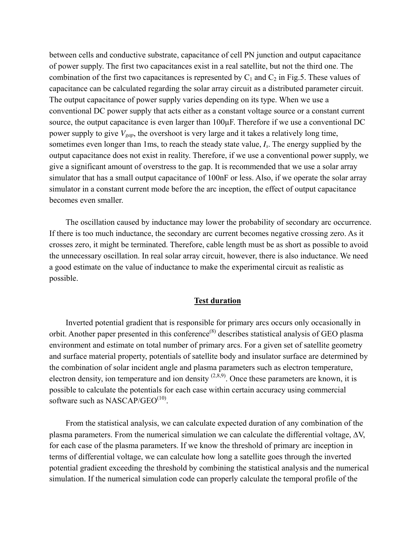between cells and conductive substrate, capacitance of cell PN junction and output capacitance of power supply. The first two capacitances exist in a real satellite, but not the third one. The combination of the first two capacitances is represented by  $C_1$  and  $C_2$  in Fig.5. These values of capacitance can be calculated regarding the solar array circuit as a distributed parameter circuit. The output capacitance of power supply varies depending on its type. When we use a conventional DC power supply that acts either as a constant voltage source or a constant current source, the output capacitance is even larger than  $100\mu$ F. Therefore if we use a conventional DC power supply to give *Vgap*, the overshoot is very large and it takes a relatively long time, sometimes even longer than 1ms, to reach the steady state value, *Is*. The energy supplied by the output capacitance does not exist in reality. Therefore, if we use a conventional power supply, we give a significant amount of overstress to the gap. It is recommended that we use a solar array simulator that has a small output capacitance of 100nF or less. Also, if we operate the solar array simulator in a constant current mode before the arc inception, the effect of output capacitance becomes even smaller.

The oscillation caused by inductance may lower the probability of secondary arc occurrence. If there is too much inductance, the secondary arc current becomes negative crossing zero. As it crosses zero, it might be terminated. Therefore, cable length must be as short as possible to avoid the unnecessary oscillation. In real solar array circuit, however, there is also inductance. We need a good estimate on the value of inductance to make the experimental circuit as realistic as possible.

## **Test duration**

Inverted potential gradient that is responsible for primary arcs occurs only occasionally in orbit. Another paper presented in this conference<sup>(8)</sup> describes statistical analysis of GEO plasma environment and estimate on total number of primary arcs. For a given set of satellite geometry and surface material property, potentials of satellite body and insulator surface are determined by the combination of solar incident angle and plasma parameters such as electron temperature, electron density, ion temperature and ion density  $(2,8,9)$ . Once these parameters are known, it is possible to calculate the potentials for each case within certain accuracy using commercial software such as NASCAP/GEO $^{(10)}$ .

From the statistical analysis, we can calculate expected duration of any combination of the plasma parameters. From the numerical simulation we can calculate the differential voltage,  $\Delta V$ , for each case of the plasma parameters. If we know the threshold of primary arc inception in terms of differential voltage, we can calculate how long a satellite goes through the inverted potential gradient exceeding the threshold by combining the statistical analysis and the numerical simulation. If the numerical simulation code can properly calculate the temporal profile of the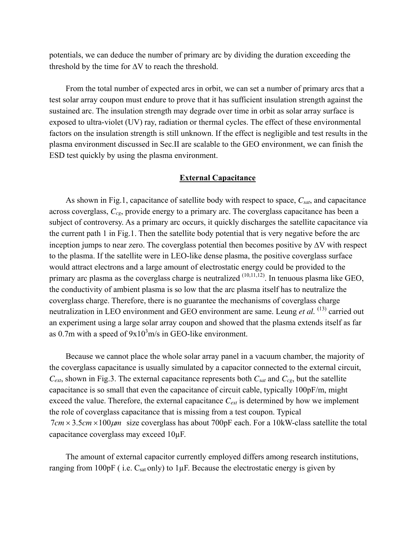potentials, we can deduce the number of primary arc by dividing the duration exceeding the threshold by the time for  $\Delta V$  to reach the threshold.

From the total number of expected arcs in orbit, we can set a number of primary arcs that a test solar array coupon must endure to prove that it has sufficient insulation strength against the sustained arc. The insulation strength may degrade over time in orbit as solar array surface is exposed to ultra-violet (UV) ray, radiation or thermal cycles. The effect of these environmental factors on the insulation strength is still unknown. If the effect is negligible and test results in the plasma environment discussed in Sec.II are scalable to the GEO environment, we can finish the ESD test quickly by using the plasma environment.

### **External Capacitance**

As shown in Fig.1, capacitance of satellite body with respect to space, *Csat*, and capacitance across coverglass, *Ccg*, provide energy to a primary arc. The coverglass capacitance has been a subject of controversy. As a primary arc occurs, it quickly discharges the satellite capacitance via the current path 1 in Fig.1. Then the satellite body potential that is very negative before the arc inception jumps to near zero. The coverglass potential then becomes positive by ∆V with respect to the plasma. If the satellite were in LEO-like dense plasma, the positive coverglass surface would attract electrons and a large amount of electrostatic energy could be provided to the primary arc plasma as the coverglass charge is neutralized  $(10,11,12)$ . In tenuous plasma like GEO, the conductivity of ambient plasma is so low that the arc plasma itself has to neutralize the coverglass charge. Therefore, there is no guarantee the mechanisms of coverglass charge neutralization in LEO environment and GEO environment are same. Leung *et al.* <sup>(13)</sup> carried out an experiment using a large solar array coupon and showed that the plasma extends itself as far as 0.7m with a speed of  $9x10<sup>3</sup>m/s$  in GEO-like environment.

Because we cannot place the whole solar array panel in a vacuum chamber, the majority of the coverglass capacitance is usually simulated by a capacitor connected to the external circuit,  $C_{ext}$ , shown in Fig.3. The external capacitance represents both  $C_{sat}$  and  $C_{cg}$ , but the satellite capacitance is so small that even the capacitance of circuit cable, typically 100pF/m, might exceed the value. Therefore, the external capacitance  $C_{ext}$  is determined by how we implement the role of coverglass capacitance that is missing from a test coupon. Typical  $7cm \times 3.5cm \times 100 \mu m$  size coverglass has about  $700pF$  each. For a 10kW-class satellite the total capacitance coverglass may exceed 10µF.

The amount of external capacitor currently employed differs among research institutions, ranging from 100pF (i.e.  $C_{sat}$  only) to 1 $\mu$ F. Because the electrostatic energy is given by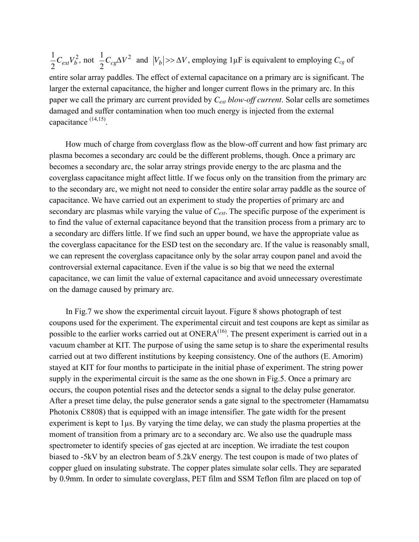1  $\frac{1}{2}C_{ext}V_b^2$ , not  $\frac{1}{2}$  $\frac{1}{2}C_{cg}\Delta V^2$  and  $|V_b| \gg \Delta V$ , employing 1µF is equivalent to employing  $C_{cg}$  of entire solar array paddles. The effect of external capacitance on a primary arc is significant. The larger the external capacitance, the higher and longer current flows in the primary arc. In this paper we call the primary arc current provided by *Cext blow-off current*. Solar cells are sometimes damaged and suffer contamination when too much energy is injected from the external capacitance (14,15).

How much of charge from coverglass flow as the blow-off current and how fast primary arc plasma becomes a secondary arc could be the different problems, though. Once a primary arc becomes a secondary arc, the solar array strings provide energy to the arc plasma and the coverglass capacitance might affect little. If we focus only on the transition from the primary arc to the secondary arc, we might not need to consider the entire solar array paddle as the source of capacitance. We have carried out an experiment to study the properties of primary arc and secondary arc plasmas while varying the value of *Cext*. The specific purpose of the experiment is to find the value of external capacitance beyond that the transition process from a primary arc to a secondary arc differs little. If we find such an upper bound, we have the appropriate value as the coverglass capacitance for the ESD test on the secondary arc. If the value is reasonably small, we can represent the coverglass capacitance only by the solar array coupon panel and avoid the controversial external capacitance. Even if the value is so big that we need the external capacitance, we can limit the value of external capacitance and avoid unnecessary overestimate on the damage caused by primary arc.

In Fig.7 we show the experimental circuit layout. Figure 8 shows photograph of test coupons used for the experiment. The experimental circuit and test coupons are kept as similar as possible to the earlier works carried out at ONERA<sup>(16)</sup>. The present experiment is carried out in a vacuum chamber at KIT. The purpose of using the same setup is to share the experimental results carried out at two different institutions by keeping consistency. One of the authors (E. Amorim) stayed at KIT for four months to participate in the initial phase of experiment. The string power supply in the experimental circuit is the same as the one shown in Fig.5. Once a primary arc occurs, the coupon potential rises and the detector sends a signal to the delay pulse generator. After a preset time delay, the pulse generator sends a gate signal to the spectrometer (Hamamatsu Photonix C8808) that is equipped with an image intensifier. The gate width for the present experiment is kept to 1µs. By varying the time delay, we can study the plasma properties at the moment of transition from a primary arc to a secondary arc. We also use the quadruple mass spectrometer to identify species of gas ejected at arc inception. We irradiate the test coupon biased to -5kV by an electron beam of 5.2kV energy. The test coupon is made of two plates of copper glued on insulating substrate. The copper plates simulate solar cells. They are separated by 0.9mm. In order to simulate coverglass, PET film and SSM Teflon film are placed on top of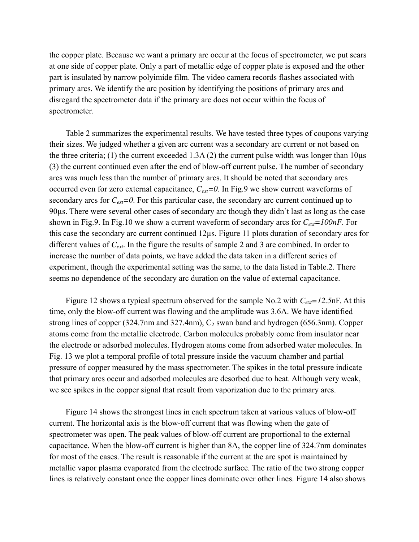the copper plate. Because we want a primary arc occur at the focus of spectrometer, we put scars at one side of copper plate. Only a part of metallic edge of copper plate is exposed and the other part is insulated by narrow polyimide film. The video camera records flashes associated with primary arcs. We identify the arc position by identifying the positions of primary arcs and disregard the spectrometer data if the primary arc does not occur within the focus of spectrometer.

Table 2 summarizes the experimental results. We have tested three types of coupons varying their sizes. We judged whether a given arc current was a secondary arc current or not based on the three criteria; (1) the current exceeded 1.3A (2) the current pulse width was longer than  $10\mu s$ (3) the current continued even after the end of blow-off current pulse. The number of secondary arcs was much less than the number of primary arcs. It should be noted that secondary arcs occurred even for zero external capacitance, *Cext=0*. In Fig.9 we show current waveforms of secondary arcs for  $C_{ext}=0$ . For this particular case, the secondary arc current continued up to 90µs. There were several other cases of secondary arc though they didn't last as long as the case shown in Fig.9. In Fig.10 we show a current waveform of secondary arcs for *Cext=100nF*. For this case the secondary arc current continued 12µs. Figure 11 plots duration of secondary arcs for different values of *Cext*. In the figure the results of sample 2 and 3 are combined. In order to increase the number of data points, we have added the data taken in a different series of experiment, though the experimental setting was the same, to the data listed in Table.2. There seems no dependence of the secondary arc duration on the value of external capacitance.

Figure 12 shows a typical spectrum observed for the sample No.2 with  $C_{ext} = 12.5$ nF. At this time, only the blow-off current was flowing and the amplitude was 3.6A. We have identified strong lines of copper  $(324.7)$ m and  $(327.4)$ m,  $C_2$  swan band and hydrogen  $(656.3)$ mm). Copper atoms come from the metallic electrode. Carbon molecules probably come from insulator near the electrode or adsorbed molecules. Hydrogen atoms come from adsorbed water molecules. In Fig. 13 we plot a temporal profile of total pressure inside the vacuum chamber and partial pressure of copper measured by the mass spectrometer. The spikes in the total pressure indicate that primary arcs occur and adsorbed molecules are desorbed due to heat. Although very weak, we see spikes in the copper signal that result from vaporization due to the primary arcs.

Figure 14 shows the strongest lines in each spectrum taken at various values of blow-off current. The horizontal axis is the blow-off current that was flowing when the gate of spectrometer was open. The peak values of blow-off current are proportional to the external capacitance. When the blow-off current is higher than 8A, the copper line of 324.7nm dominates for most of the cases. The result is reasonable if the current at the arc spot is maintained by metallic vapor plasma evaporated from the electrode surface. The ratio of the two strong copper lines is relatively constant once the copper lines dominate over other lines. Figure 14 also shows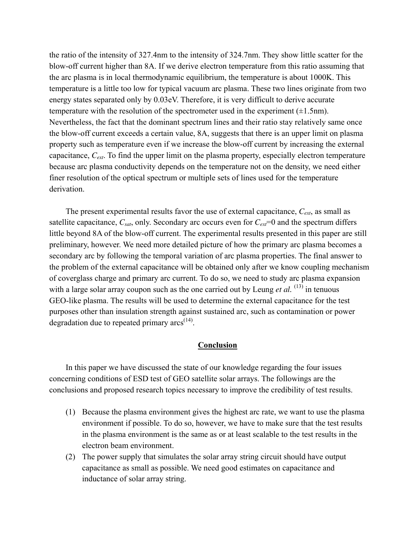the ratio of the intensity of 327.4nm to the intensity of 324.7nm. They show little scatter for the blow-off current higher than 8A. If we derive electron temperature from this ratio assuming that the arc plasma is in local thermodynamic equilibrium, the temperature is about 1000K. This temperature is a little too low for typical vacuum arc plasma. These two lines originate from two energy states separated only by 0.03eV. Therefore, it is very difficult to derive accurate temperature with the resolution of the spectrometer used in the experiment  $(\pm 1.5$ nm). Nevertheless, the fact that the dominant spectrum lines and their ratio stay relatively same once the blow-off current exceeds a certain value, 8A, suggests that there is an upper limit on plasma property such as temperature even if we increase the blow-off current by increasing the external capacitance, *Cext*. To find the upper limit on the plasma property, especially electron temperature because arc plasma conductivity depends on the temperature not on the density, we need either finer resolution of the optical spectrum or multiple sets of lines used for the temperature derivation.

The present experimental results favor the use of external capacitance, *Cext*, as small as satellite capacitance,  $C_{sat}$ , only. Secondary arc occurs even for  $C_{ext}=0$  and the spectrum differs little beyond 8A of the blow-off current. The experimental results presented in this paper are still preliminary, however. We need more detailed picture of how the primary arc plasma becomes a secondary arc by following the temporal variation of arc plasma properties. The final answer to the problem of the external capacitance will be obtained only after we know coupling mechanism of coverglass charge and primary arc current. To do so, we need to study arc plasma expansion with a large solar array coupon such as the one carried out by Leung *et al.* <sup>(13)</sup> in tenuous GEO-like plasma. The results will be used to determine the external capacitance for the test purposes other than insulation strength against sustained arc, such as contamination or power degradation due to repeated primary  $arcs^{(14)}$ .

#### **Conclusion**

In this paper we have discussed the state of our knowledge regarding the four issues concerning conditions of ESD test of GEO satellite solar arrays. The followings are the conclusions and proposed research topics necessary to improve the credibility of test results.

- (1) Because the plasma environment gives the highest arc rate, we want to use the plasma environment if possible. To do so, however, we have to make sure that the test results in the plasma environment is the same as or at least scalable to the test results in the electron beam environment.
- (2) The power supply that simulates the solar array string circuit should have output capacitance as small as possible. We need good estimates on capacitance and inductance of solar array string.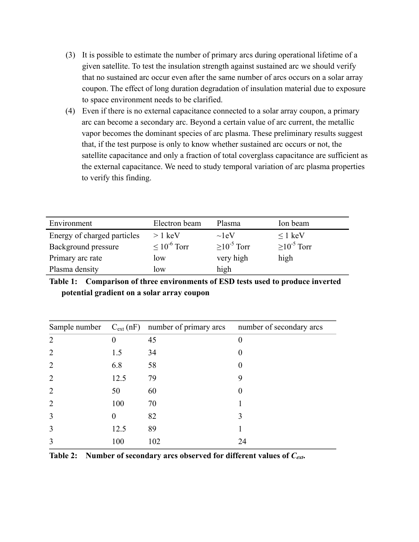- (3) It is possible to estimate the number of primary arcs during operational lifetime of a given satellite. To test the insulation strength against sustained arc we should verify that no sustained arc occur even after the same number of arcs occurs on a solar array coupon. The effect of long duration degradation of insulation material due to exposure to space environment needs to be clarified.
- (4) Even if there is no external capacitance connected to a solar array coupon, a primary arc can become a secondary arc. Beyond a certain value of arc current, the metallic vapor becomes the dominant species of arc plasma. These preliminary results suggest that, if the test purpose is only to know whether sustained arc occurs or not, the satellite capacitance and only a fraction of total coverglass capacitance are sufficient as the external capacitance. We need to study temporal variation of arc plasma properties to verify this finding.

| Environment                 | Electron beam       | Plasma          | Ion beam        |
|-----------------------------|---------------------|-----------------|-----------------|
| Energy of charged particles | $> 1 \text{ keV}$   | $\sim$ leV      | $\leq 1$ keV    |
| Background pressure         | $\leq 10^{-6}$ Torr | $>10^{-5}$ Torr | $>10^{-5}$ Torr |
| Primary arc rate            | low                 | very high       | high            |
| Plasma density              | low                 | high            |                 |

**Table 1: Comparison of three environments of ESD tests used to produce inverted potential gradient on a solar array coupon** 

|                |          | Sample number $C_{ext}(nF)$ number of primary arcs number of secondary arcs |          |
|----------------|----------|-----------------------------------------------------------------------------|----------|
| $\overline{2}$ | $\theta$ | 45                                                                          | $\theta$ |
| $\overline{2}$ | 1.5      | 34                                                                          | $\theta$ |
| $\overline{2}$ | 6.8      | 58                                                                          |          |
| $\overline{2}$ | 12.5     | 79                                                                          | 9        |
| $\overline{2}$ | 50       | 60                                                                          | $\theta$ |
| $\overline{2}$ | 100      | 70                                                                          |          |
| 3              | $\Omega$ | 82                                                                          | 3        |
| 3              | 12.5     | 89                                                                          |          |
| 3              | 100      | 102                                                                         | 24       |

Table 2: Number of secondary arcs observed for different values of  $C_{ext}$ .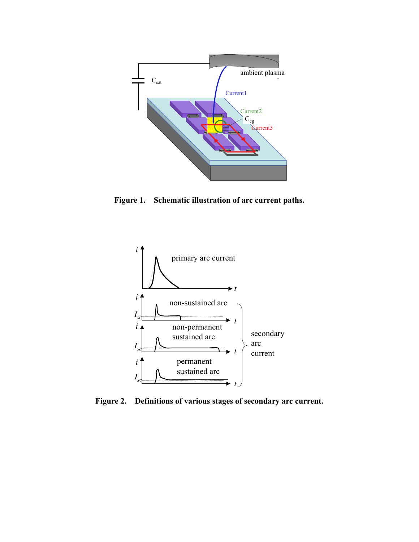

**Figure 1. Schematic illustration of arc current paths.** 



**Figure 2. Definitions of various stages of secondary arc current.**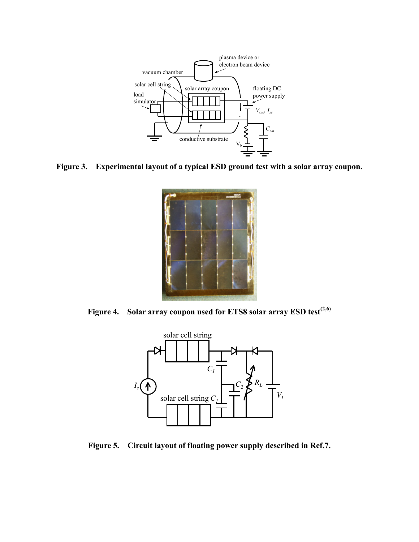

**Figure 3. Experimental layout of a typical ESD ground test with a solar array coupon.** 



**Figure 4. Solar array coupon used for ETS8 solar array ESD test(2,6)** 



**Figure 5. Circuit layout of floating power supply described in Ref.7.**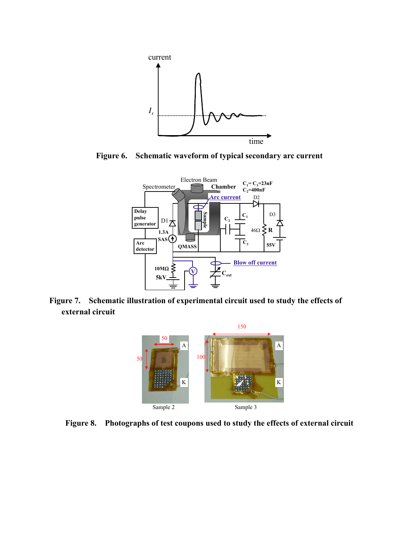

**Figure 6. Schematic waveform of typical secondary arc current** 



**Figure 7. Schematic illustration of experimental circuit used to study the effects of external circuit** 



**Figure 8. Photographs of test coupons used to study the effects of external circuit**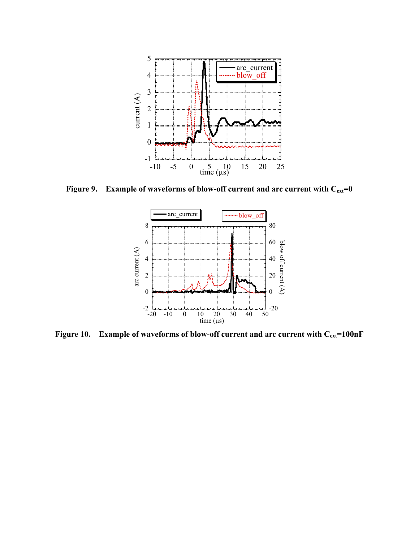

Figure 9. Example of waveforms of blow-off current and arc current with  $C_{ext}=0$ 



Figure 10. Example of waveforms of blow-off current and arc current with C<sub>ext</sub>=100nF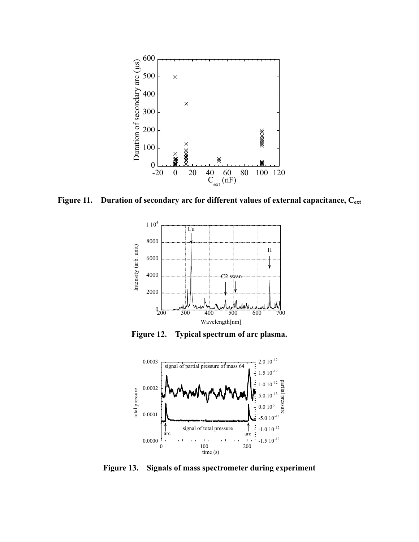

Figure 11. Duration of secondary arc for different values of external capacitance, C<sub>ext</sub>



**Figure 12. Typical spectrum of arc plasma.** 



**Figure 13. Signals of mass spectrometer during experiment**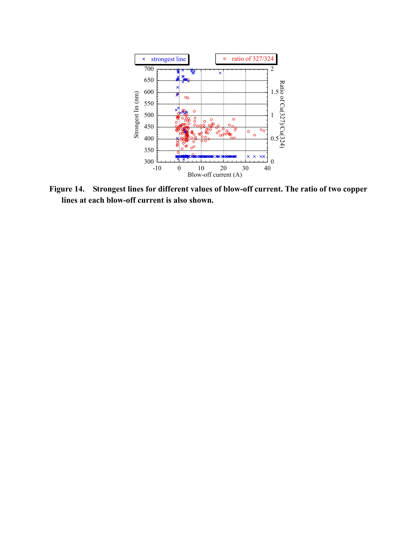

**Figure 14. Strongest lines for different values of blow-off current. The ratio of two copper lines at each blow-off current is also shown.**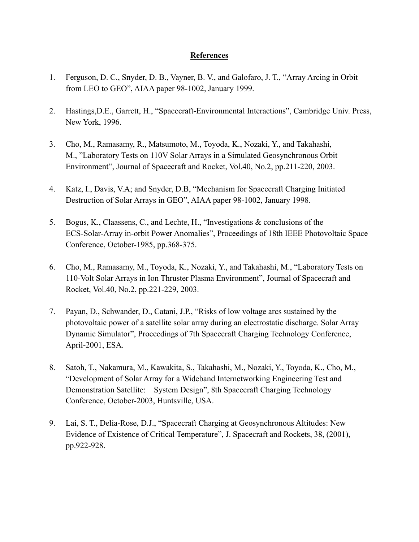## **References**

- 1. Ferguson, D. C., Snyder, D. B., Vayner, B. V., and Galofaro, J. T., "Array Arcing in Orbit from LEO to GEO", AIAA paper 98-1002, January 1999.
- 2. Hastings,D.E., Garrett, H., "Spacecraft-Environmental Interactions", Cambridge Univ. Press, New York, 1996.
- 3. Cho, M., Ramasamy, R., Matsumoto, M., Toyoda, K., Nozaki, Y., and Takahashi, M., "Laboratory Tests on 110V Solar Arrays in a Simulated Geosynchronous Orbit Environment", Journal of Spacecraft and Rocket, Vol.40, No.2, pp.211-220, 2003.
- 4. Katz, I., Davis, V.A; and Snyder, D.B, "Mechanism for Spacecraft Charging Initiated Destruction of Solar Arrays in GEO", AIAA paper 98-1002, January 1998.
- 5. Bogus, K., Claassens, C., and Lechte, H., "Investigations & conclusions of the ECS-Solar-Array in-orbit Power Anomalies", Proceedings of 18th IEEE Photovoltaic Space Conference, October-1985, pp.368-375.
- 6. Cho, M., Ramasamy, M., Toyoda, K., Nozaki, Y., and Takahashi, M., "Laboratory Tests on 110-Volt Solar Arrays in Ion Thruster Plasma Environment", Journal of Spacecraft and Rocket, Vol.40, No.2, pp.221-229, 2003.
- 7. Payan, D., Schwander, D., Catani, J.P., "Risks of low voltage arcs sustained by the photovoltaic power of a satellite solar array during an electrostatic discharge. Solar Array Dynamic Simulator", Proceedings of 7th Spacecraft Charging Technology Conference, April-2001, ESA.
- 8. Satoh, T., Nakamura, M., Kawakita, S., Takahashi, M., Nozaki, Y., Toyoda, K., Cho, M., "Development of Solar Array for a Wideband Internetworking Engineering Test and Demonstration Satellite: System Design", 8th Spacecraft Charging Technology Conference, October-2003, Huntsville, USA.
- 9. Lai, S. T., Delia-Rose, D.J., "Spacecraft Charging at Geosynchronous Altitudes: New Evidence of Existence of Critical Temperature", J. Spacecraft and Rockets, 38, (2001), pp.922-928.